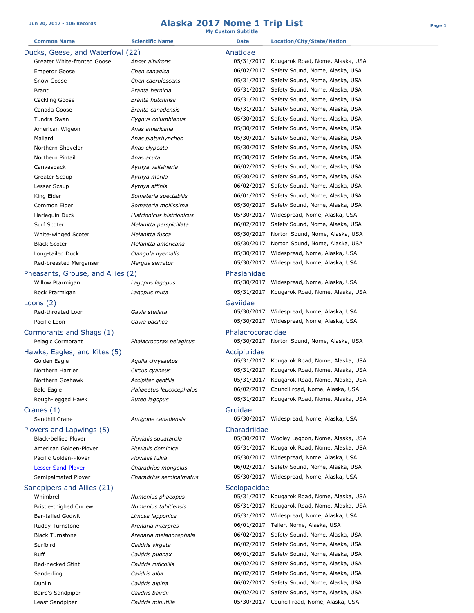# **Jun 20, 2017 - 106 Records Alaska 2017 Nome 1 Trip List Page 1 My Custom Subtitle**

| <b>Common Name</b>                | <b>Scientific Name</b>    | <b>Date</b>       | Location/City/State/Nation                  |
|-----------------------------------|---------------------------|-------------------|---------------------------------------------|
| Ducks, Geese, and Waterfowl (22)  |                           | Anatidae          |                                             |
| Greater White-fronted Goose       | Anser albifrons           | 05/31/2017        | Kougarok Road, Nome, Alaska, USA            |
| <b>Emperor Goose</b>              | Chen canagica             | 06/02/2017        | Safety Sound, Nome, Alaska, USA             |
| Snow Goose                        | Chen caerulescens         | 05/31/2017        | Safety Sound, Nome, Alaska, USA             |
| <b>Brant</b>                      | Branta bernicla           | 05/31/2017        | Safety Sound, Nome, Alaska, USA             |
| Cackling Goose                    | Branta hutchinsii         | 05/31/2017        | Safety Sound, Nome, Alaska, USA             |
| Canada Goose                      | Branta canadensis         | 05/31/2017        | Safety Sound, Nome, Alaska, USA             |
| Tundra Swan                       | Cygnus columbianus        | 05/30/2017        | Safety Sound, Nome, Alaska, USA             |
| American Wigeon                   | Anas americana            | 05/30/2017        | Safety Sound, Nome, Alaska, USA             |
| Mallard                           | Anas platyrhynchos        | 05/30/2017        | Safety Sound, Nome, Alaska, USA             |
| Northern Shoveler                 | Anas clypeata             | 05/30/2017        | Safety Sound, Nome, Alaska, USA             |
| Northern Pintail                  | Anas acuta                | 05/30/2017        | Safety Sound, Nome, Alaska, USA             |
| Canvasback                        | Aythya valisineria        | 06/02/2017        | Safety Sound, Nome, Alaska, USA             |
| Greater Scaup                     | Aythya marila             | 05/30/2017        | Safety Sound, Nome, Alaska, USA             |
| Lesser Scaup                      | Aythya affinis            | 06/02/2017        | Safety Sound, Nome, Alaska, USA             |
| King Eider                        | Somateria spectabilis     | 06/01/2017        | Safety Sound, Nome, Alaska, USA             |
| Common Eider                      | Somateria mollissima      | 05/30/2017        | Safety Sound, Nome, Alaska, USA             |
| Harlequin Duck                    | Histrionicus histrionicus | 05/30/2017        | Widespread, Nome, Alaska, USA               |
| Surf Scoter                       | Melanitta perspicillata   | 06/02/2017        | Safety Sound, Nome, Alaska, USA             |
| White-winged Scoter               | Melanitta fusca           | 05/30/2017        | Norton Sound, Nome, Alaska, USA             |
| <b>Black Scoter</b>               | Melanitta americana       | 05/30/2017        | Norton Sound, Nome, Alaska, USA             |
|                                   |                           | 05/30/2017        | Widespread, Nome, Alaska, USA               |
| Long-tailed Duck                  | Clangula hyemalis         | 05/30/2017        |                                             |
| Red-breasted Merganser            | Mergus serrator           |                   | Widespread, Nome, Alaska, USA               |
| Pheasants, Grouse, and Allies (2) |                           | Phasianidae       |                                             |
| Willow Ptarmigan                  | Lagopus lagopus           | 05/30/2017        | Widespread, Nome, Alaska, USA               |
| Rock Ptarmigan                    | Lagopus muta              | 05/31/2017        | Kougarok Road, Nome, Alaska, USA            |
| Loons $(2)$                       |                           | Gaviidae          |                                             |
| Red-throated Loon                 | Gavia stellata            | 05/30/2017        | Widespread, Nome, Alaska, USA               |
| Pacific Loon                      | Gavia pacifica            |                   | 05/30/2017 Widespread, Nome, Alaska, USA    |
| Cormorants and Shags (1)          |                           | Phalacrocoracidae |                                             |
| Pelagic Cormorant                 | Phalacrocorax pelagicus   |                   | 05/30/2017 Norton Sound, Nome, Alaska, USA  |
| Hawks, Eagles, and Kites (5)      |                           | Accipitridae      |                                             |
| Golden Eagle                      | Aquila chrysaetos         |                   | 05/31/2017 Kougarok Road, Nome, Alaska, USA |
| Northern Harrier                  | Circus cyaneus            | 05/31/2017        | Kougarok Road, Nome, Alaska, USA            |
| Northern Goshawk                  | Accipiter gentilis        | 05/31/2017        | Kougarok Road, Nome, Alaska, USA            |
| <b>Bald Eagle</b>                 | Haliaeetus leucocephalus  |                   | 06/02/2017 Council road, Nome, Alaska, USA  |
| Rough-legged Hawk                 | Buteo lagopus             | 05/31/2017        | Kougarok Road, Nome, Alaska, USA            |
| Cranes $(1)$                      |                           | Gruidae           |                                             |
| Sandhill Crane                    | Antigone canadensis       | 05/30/2017        | Widespread, Nome, Alaska, USA               |
| Plovers and Lapwings (5)          |                           | Charadriidae      |                                             |
| <b>Black-bellied Plover</b>       | Pluvialis squatarola      | 05/30/2017        | Wooley Lagoon, Nome, Alaska, USA            |
| American Golden-Plover            | Pluvialis dominica        | 05/31/2017        | Kougarok Road, Nome, Alaska, USA            |
| Pacific Golden-Plover             | Pluvialis fulva           | 05/30/2017        | Widespread, Nome, Alaska, USA               |
| <b>Lesser Sand-Plover</b>         | Charadrius mongolus       | 06/02/2017        | Safety Sound, Nome, Alaska, USA             |
| Semipalmated Plover               | Charadrius semipalmatus   | 05/30/2017        | Widespread, Nome, Alaska, USA               |
| Sandpipers and Allies (21)        |                           | Scolopacidae      |                                             |
| Whimbrel                          | Numenius phaeopus         |                   | 05/31/2017 Kougarok Road, Nome, Alaska, USA |
| Bristle-thighed Curlew            | Numenius tahitiensis      | 05/31/2017        | Kougarok Road, Nome, Alaska, USA            |
| <b>Bar-tailed Godwit</b>          | Limosa lapponica          | 05/31/2017        | Widespread, Nome, Alaska, USA               |
| Ruddy Turnstone                   | Arenaria interpres        | 06/01/2017        | Teller, Nome, Alaska, USA                   |
| <b>Black Turnstone</b>            | Arenaria melanocephala    | 06/02/2017        | Safety Sound, Nome, Alaska, USA             |
| Surfbird                          | Calidris virgata          | 06/02/2017        | Safety Sound, Nome, Alaska, USA             |
| Ruff                              | Calidris pugnax           | 06/01/2017        | Safety Sound, Nome, Alaska, USA             |
| Red-necked Stint                  | Calidris ruficollis       | 06/02/2017        | Safety Sound, Nome, Alaska, USA             |
| Sanderling                        | Calidris alba             | 06/02/2017        | Safety Sound, Nome, Alaska, USA             |
| Dunlin                            | Calidris alpina           | 06/02/2017        | Safety Sound, Nome, Alaska, USA             |
| Baird's Sandpiper                 | Calidris bairdii          | 06/02/2017        | Safety Sound, Nome, Alaska, USA             |
|                                   |                           |                   |                                             |

Least Sandpiper *Calidris minutilla* 05/30/2017 Council road, Nome, Alaska, USA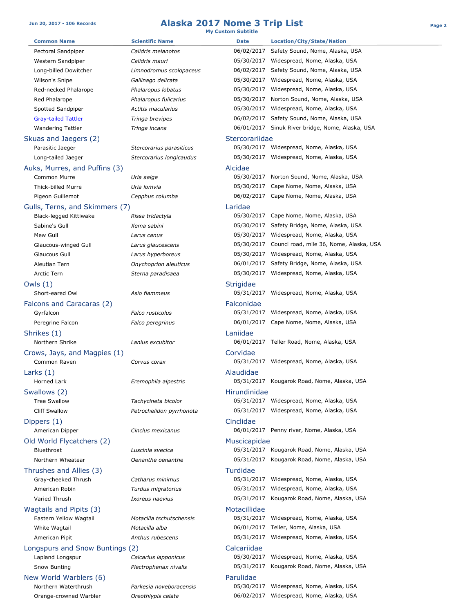## **Jun 20, 2017 - 106 Records Alaska 2017 Nome 3 Trip List Page 2**

**My Custom Subtitle**

| <b>Common Name</b>                                  | <b>Scientific Name</b>   | <b>Date</b>      | <b>Location/City/State/Nation</b>                  |
|-----------------------------------------------------|--------------------------|------------------|----------------------------------------------------|
| Pectoral Sandpiper                                  | Calidris melanotos       |                  | 06/02/2017 Safety Sound, Nome, Alaska, USA         |
| Western Sandpiper                                   | Calidris mauri           |                  | 05/30/2017 Widespread, Nome, Alaska, USA           |
| Long-billed Dowitcher                               | Limnodromus scolopaceus  |                  | 06/02/2017 Safety Sound, Nome, Alaska, USA         |
| Wilson's Snipe                                      | Gallinago delicata       |                  | 05/30/2017 Widespread, Nome, Alaska, USA           |
| Red-necked Phalarope                                | Phalaropus lobatus       |                  | 05/30/2017 Widespread, Nome, Alaska, USA           |
| Red Phalarope                                       | Phalaropus fulicarius    |                  | 05/30/2017 Norton Sound, Nome, Alaska, USA         |
| Spotted Sandpiper                                   | Actitis macularius       |                  | 05/30/2017 Widespread, Nome, Alaska, USA           |
| <b>Gray-tailed Tattler</b>                          | Tringa brevipes          |                  | 06/02/2017 Safety Sound, Nome, Alaska, USA         |
| <b>Wandering Tattler</b>                            | Tringa incana            |                  | 06/01/2017 Sinuk River bridge, Nome, Alaska, USA   |
| Skuas and Jaegers (2)                               |                          | Stercorariidae   |                                                    |
| Parasitic Jaeger                                    | Stercorarius parasiticus |                  | 05/30/2017 Widespread, Nome, Alaska, USA           |
| Long-tailed Jaeger                                  | Stercorarius longicaudus |                  | 05/30/2017 Widespread, Nome, Alaska, USA           |
| Auks, Murres, and Puffins (3)                       |                          | Alcidae          |                                                    |
| Common Murre                                        | Uria aalge               |                  | 05/30/2017 Norton Sound, Nome, Alaska, USA         |
| Thick-billed Murre                                  | Uria lomvia              |                  | 05/30/2017 Cape Nome, Nome, Alaska, USA            |
| Pigeon Guillemot                                    | Cepphus columba          |                  | 06/02/2017 Cape Nome, Nome, Alaska, USA            |
| Gulls, Terns, and Skimmers (7)                      |                          | Laridae          |                                                    |
| Black-legged Kittiwake                              | Rissa tridactyla         |                  | 05/30/2017 Cape Nome, Nome, Alaska, USA            |
| Sabine's Gull                                       | Xema sabini              |                  | 05/30/2017 Safety Bridge, Nome, Alaska, USA        |
| Mew Gull                                            | Larus canus              |                  | 05/30/2017 Widespread, Nome, Alaska, USA           |
| Glaucous-winged Gull                                | Larus glaucescens        |                  | 05/30/2017 Counci road, mile 36, Nome, Alaska, USA |
| Glaucous Gull                                       | Larus hyperboreus        |                  | 05/30/2017 Widespread, Nome, Alaska, USA           |
| Aleutian Tern                                       | Onychoprion aleuticus    |                  | 06/01/2017 Safety Bridge, Nome, Alaska, USA        |
| Arctic Tern                                         | Sterna paradisaea        |                  | 05/30/2017 Widespread, Nome, Alaska, USA           |
| Owls (1)                                            |                          | <b>Strigidae</b> |                                                    |
| Short-eared Owl                                     | Asio flammeus            |                  | 05/31/2017 Widespread, Nome, Alaska, USA           |
| Falcons and Caracaras (2)                           |                          | Falconidae       |                                                    |
| Gyrfalcon                                           | Falco rusticolus         |                  | 05/31/2017 Widespread, Nome, Alaska, USA           |
| Peregrine Falcon                                    | Falco peregrinus         |                  | 06/01/2017 Cape Nome, Nome, Alaska, USA            |
| Shrikes (1)                                         |                          | Laniidae         |                                                    |
| Northern Shrike                                     | Lanius excubitor         |                  | 06/01/2017 Teller Road, Nome, Alaska, USA          |
| Crows, Jays, and Magpies (1)                        |                          | Corvidae         |                                                    |
| Common Raven                                        | Corvus corax             |                  | 05/31/2017 Widespread, Nome, Alaska, USA           |
| Larks (1)                                           |                          | Alaudidae        |                                                    |
| Horned Lark                                         | Eremophila alpestris     |                  | 05/31/2017 Kougarok Road, Nome, Alaska, USA        |
| Swallows (2)                                        |                          | Hirundinidae     |                                                    |
| <b>Tree Swallow</b>                                 | Tachycineta bicolor      |                  | 05/31/2017 Widespread, Nome, Alaska, USA           |
| <b>Cliff Swallow</b>                                | Petrochelidon pyrrhonota |                  | 05/31/2017 Widespread, Nome, Alaska, USA           |
| Dippers (1)                                         |                          | Cinclidae        |                                                    |
| American Dipper                                     | Cinclus mexicanus        |                  | 06/01/2017 Penny river, Nome, Alaska, USA          |
| Old World Flycatchers (2)                           |                          | Muscicapidae     |                                                    |
| Bluethroat                                          | Luscinia svecica         |                  | 05/31/2017 Kougarok Road, Nome, Alaska, USA        |
| Northern Wheatear                                   | Oenanthe oenanthe        |                  | 05/31/2017 Kougarok Road, Nome, Alaska, USA        |
| Thrushes and Allies (3)                             |                          | <b>Turdidae</b>  |                                                    |
| Gray-cheeked Thrush                                 | Catharus minimus         |                  | 05/31/2017 Widespread, Nome, Alaska, USA           |
| American Robin                                      | Turdus migratorius       |                  | 05/31/2017 Widespread, Nome, Alaska, USA           |
| Varied Thrush                                       | Ixoreus naevius          |                  | 05/31/2017 Kougarok Road, Nome, Alaska, USA        |
| Wagtails and Pipits (3)                             |                          | Motacillidae     |                                                    |
| Eastern Yellow Wagtail                              | Motacilla tschutschensis |                  | 05/31/2017 Widespread, Nome, Alaska, USA           |
| White Wagtail                                       | Motacilla alba           |                  | 06/01/2017 Teller, Nome, Alaska, USA               |
| American Pipit                                      | Anthus rubescens         |                  | 05/31/2017 Widespread, Nome, Alaska, USA           |
|                                                     |                          |                  |                                                    |
| Longspurs and Snow Buntings (2)<br>Lapland Longspur | Calcarius Iapponicus     | Calcariidae      | 05/30/2017 Widespread, Nome, Alaska, USA           |
| Snow Bunting                                        | Plectrophenax nivalis    | 05/31/2017       | Kougarok Road, Nome, Alaska, USA                   |
|                                                     |                          |                  |                                                    |
| New World Warblers (6)<br>Northern Waterthrush      | Parkesia noveboracensis  | Parulidae        | 05/30/2017 Widespread, Nome, Alaska, USA           |
| Orange-crowned Warbler                              | Oreothlypis celata       |                  | 06/02/2017 Widespread, Nome, Alaska, USA           |
|                                                     |                          |                  |                                                    |